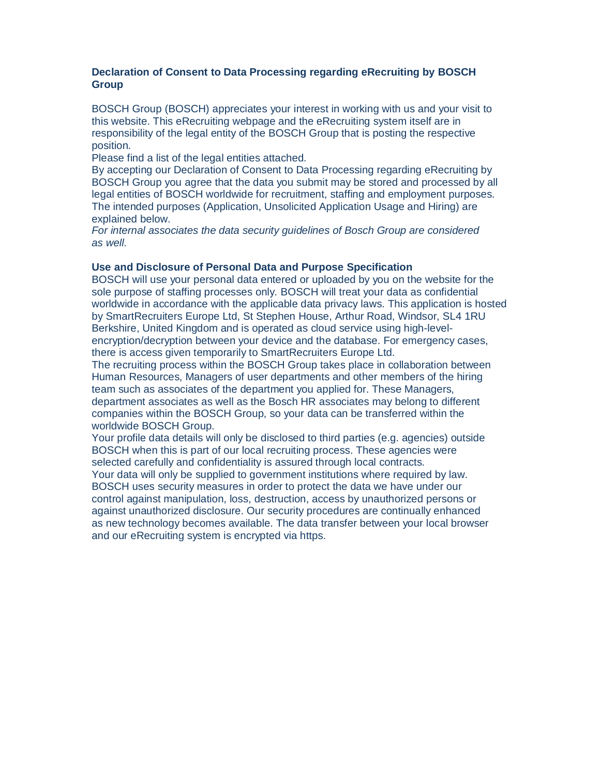# **Declaration of Consent to Data Processing regarding eRecruiting by BOSCH Group**

BOSCH Group (BOSCH) appreciates your interest in working with us and your visit to this website. This eRecruiting webpage and the eRecruiting system itself are in responsibility of the legal entity of the BOSCH Group that is posting the respective position.

Please find a list of the legal entities attached.

By accepting our Declaration of Consent to Data Processing regarding eRecruiting by BOSCH Group you agree that the data you submit may be stored and processed by all legal entities of BOSCH worldwide for recruitment, staffing and employment purposes. The intended purposes (Application, Unsolicited Application Usage and Hiring) are explained below.

*For internal associates the data security guidelines of Bosch Group are considered as well.* 

#### **Use and Disclosure of Personal Data and Purpose Specification**

BOSCH will use your personal data entered or uploaded by you on the website for the sole purpose of staffing processes only. BOSCH will treat your data as confidential worldwide in accordance with the applicable data privacy laws. This application is hosted by SmartRecruiters Europe Ltd, St Stephen House, Arthur Road, Windsor, SL4 1RU Berkshire, United Kingdom and is operated as cloud service using high-levelencryption/decryption between your device and the database. For emergency cases, there is access given temporarily to SmartRecruiters Europe Ltd.

The recruiting process within the BOSCH Group takes place in collaboration between Human Resources, Managers of user departments and other members of the hiring team such as associates of the department you applied for. These Managers, department associates as well as the Bosch HR associates may belong to different companies within the BOSCH Group, so your data can be transferred within the worldwide BOSCH Group.

Your profile data details will only be disclosed to third parties (e.g. agencies) outside BOSCH when this is part of our local recruiting process. These agencies were selected carefully and confidentiality is assured through local contracts.

Your data will only be supplied to government institutions where required by law. BOSCH uses security measures in order to protect the data we have under our control against manipulation, loss, destruction, access by unauthorized persons or against unauthorized disclosure. Our security procedures are continually enhanced as new technology becomes available. The data transfer between your local browser and our eRecruiting system is encrypted via https.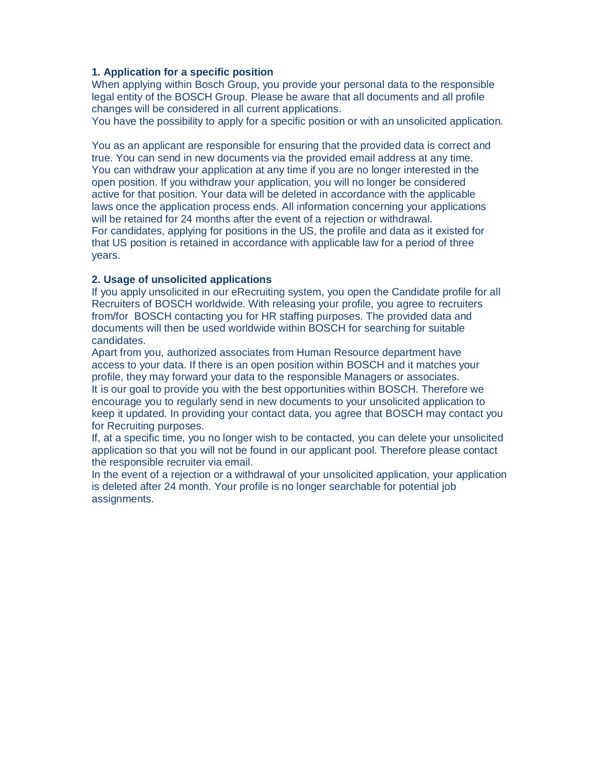# **1. Application for a specific position**

When applying within Bosch Group, you provide your personal data to the responsible legal entity of the BOSCH Group. Please be aware that all documents and all profile changes will be considered in all current applications.

You have the possibility to apply for a specific position or with an unsolicited application.

You as an applicant are responsible for ensuring that the provided data is correct and true. You can send in new documents via the provided email address at any time. You can withdraw your application at any time if you are no longer interested in the open position. If you withdraw your application, you will no longer be considered active for that position. Your data will be deleted in accordance with the applicable laws once the application process ends. All information concerning your applications will be retained for 24 months after the event of a rejection or withdrawal. For candidates, applying for positions in the US, the profile and data as it existed for that US position is retained in accordance with applicable law for a period of three years.

#### **2. Usage of unsolicited applications**

If you apply unsolicited in our eRecruiting system, you open the Candidate profile for all Recruiters of BOSCH worldwide. With releasing your profile, you agree to recruiters from/for BOSCH contacting you for HR staffing purposes. The provided data and documents will then be used worldwide within BOSCH for searching for suitable candidates.

Apart from you, authorized associates from Human Resource department have access to your data. If there is an open position within BOSCH and it matches your profile, they may forward your data to the responsible Managers or associates. It is our goal to provide you with the best opportunities within BOSCH. Therefore we encourage you to regularly send in new documents to your unsolicited application to keep it updated. In providing your contact data, you agree that BOSCH may contact you for Recruiting purposes.

If, at a specific time, you no longer wish to be contacted, you can delete your unsolicited application so that you will not be found in our applicant pool. Therefore please contact the responsible recruiter via email.

In the event of a rejection or a withdrawal of your unsolicited application, your application is deleted after 24 month. Your profile is no longer searchable for potential job assignments.